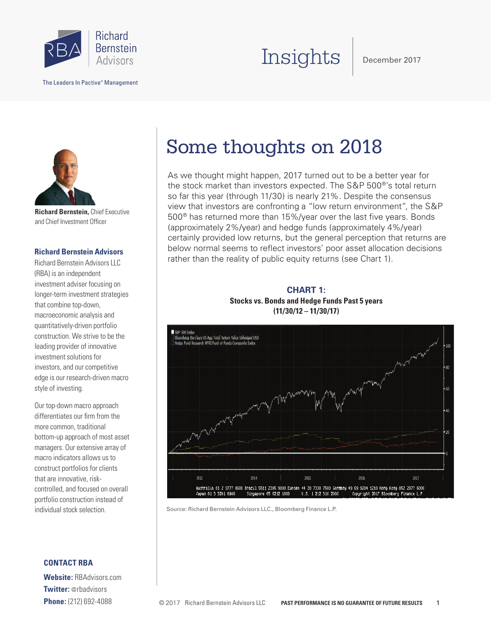

The Leaders In Pactive® Management

# Insights

December 2017



**Richard Bernstein,** Chief Executive and Chief Investment Officer

### **Richard Bernstein Advisors**

Richard Bernstein Advisors LLC (RBA) is an independent investment adviser focusing on longer-term investment strategies that combine top-down, macroeconomic analysis and quantitatively-driven portfolio construction. We strive to be the leading provider of innovative investment solutions for investors, and our competitive edge is our research-driven macro style of investing.

Our top-down macro approach differentiates our firm from the more common, traditional bottom-up approach of most asset managers. Our extensive array of macro indicators allows us to construct portfolios for clients that are innovative, riskcontrolled, and focused on overall portfolio construction instead of individual stock selection.

### **CONTACT RBA**

**Website:** RBAdvisors.com **Twitter:** @rbadvisors **Phone:** (212) 692-4088

## Some thoughts on 2018

As we thought might happen, 2017 turned out to be a better year for the stock market than investors expected. The S&P 500®'s total return so far this year (through 11/30) is nearly 21%. Despite the consensus view that investors are confronting a "low return environment", the S&P 500® has returned more than 15%/year over the last five years. Bonds (approximately 2%/year) and hedge funds (approximately 4%/year) certainly provided low returns, but the general perception that returns are below normal seems to reflect investors' poor asset allocation decisions rather than the reality of public equity returns (see Chart 1).

**CHART 1: Stocks vs. Bonds and Hedge Funds Past 5 years (11/30/12 – 11/30/17)**



Source: Richard Bernstein Advisors LLC., Bloomberg Finance L.P.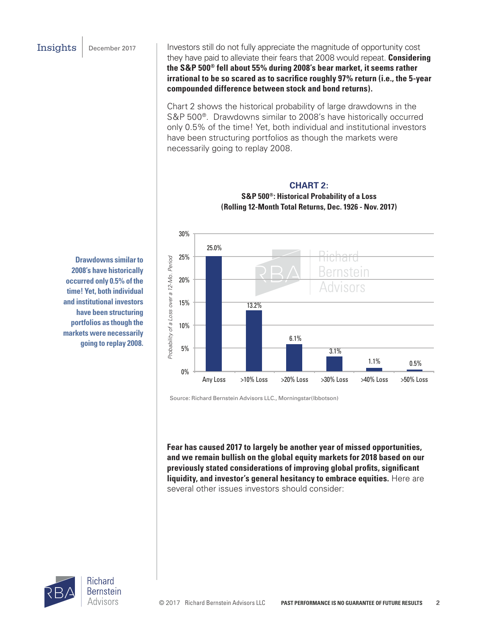Insights | December 2017 | Investors still do not fully appreciate the magnitude of opportunity cost they have paid to alleviate their fears that 2008 would repeat. **Considering the S&P 500® fell about 55% during 2008's bear market, it seems rather irrational to be so scared as to sacrifice roughly 97% return (i.e., the 5-year compounded difference between stock and bond returns).** 

> Chart 2 shows the historical probability of large drawdowns in the S&P 500®. Drawdowns similar to 2008's have historically occurred only 0.5% of the time! Yet, both individual and institutional investors have been structuring portfolios as though the markets were necessarily going to replay 2008.



**CHART 2: S&P 500®: Historical Probability of a Loss (Rolling 12-Month Total Returns, Dec. 1926 - Nov. 2017)**

Source: Richard Bernstein Advisors LLC., Morningstar(Ibbotson)

**Fear has caused 2017 to largely be another year of missed opportunities, and we remain bullish on the global equity markets for 2018 based on our previously stated considerations of improving global profits, significant liquidity, and investor's general hesitancy to embrace equities.** Here are several other issues investors should consider:

**Drawdowns similar to 2008's have historically occurred only 0.5% of the time! Yet, both individual and institutional investors have been structuring portfolios as though the markets were necessarily going to replay 2008.** 

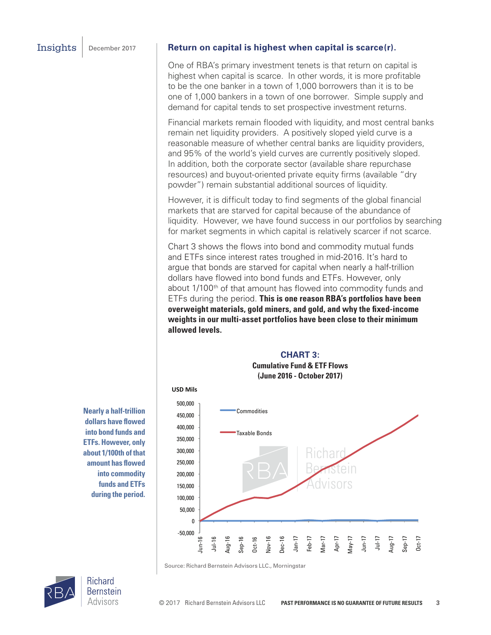#### Insights December 2017 **Return on capital is highest when capital is scarce(r).**

One of RBA's primary investment tenets is that return on capital is highest when capital is scarce. In other words, it is more profitable to be the one banker in a town of 1,000 borrowers than it is to be one of 1,000 bankers in a town of one borrower. Simple supply and demand for capital tends to set prospective investment returns.

Financial markets remain flooded with liquidity, and most central banks remain net liquidity providers. A positively sloped yield curve is a reasonable measure of whether central banks are liquidity providers, and 95% of the world's yield curves are currently positively sloped. In addition, both the corporate sector (available share repurchase resources) and buyout-oriented private equity firms (available "dry powder") remain substantial additional sources of liquidity.

However, it is difficult today to find segments of the global financial markets that are starved for capital because of the abundance of liquidity. However, we have found success in our portfolios by searching for market segments in which capital is relatively scarcer if not scarce.

Chart 3 shows the flows into bond and commodity mutual funds and ETFs since interest rates troughed in mid-2016. It's hard to argue that bonds are starved for capital when nearly a half-trillion dollars have flowed into bond funds and ETFs. However, only about 1/100<sup>th</sup> of that amount has flowed into commodity funds and ETFs during the period. **This is one reason RBA's portfolios have been overweight materials, gold miners, and gold, and why the fixed-income weights in our multi-asset portfolios have been close to their minimum allowed levels.**

#### **CHART 3:**

**Cumulative Fund & ETF Flows (June 2016 - October 2017)**



**Nearly a half-trillion dollars have flowed into bond funds and ETFs. However, only about 1/100th of that amount has flowed into commodity funds and ETFs during the period.**

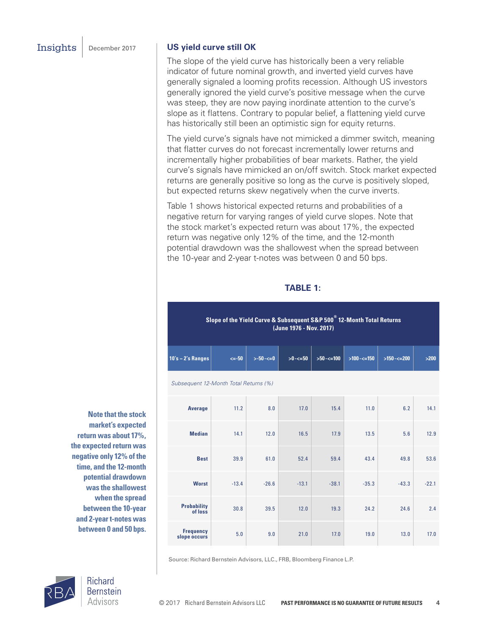#### Insights December 2017 **US yield curve still OK**

The slope of the yield curve has historically been a very reliable indicator of future nominal growth, and inverted yield curves have generally signaled a looming profits recession. Although US investors generally ignored the yield curve's positive message when the curve was steep, they are now paying inordinate attention to the curve's slope as it flattens. Contrary to popular belief, a flattening yield curve has historically still been an optimistic sign for equity returns.

The yield curve's signals have not mimicked a dimmer switch, meaning that flatter curves do not forecast incrementally lower returns and incrementally higher probabilities of bear markets. Rather, the yield curve's signals have mimicked an on/off switch. Stock market expected returns are generally positive so long as the curve is positively sloped, but expected returns skew negatively when the curve inverts.

Table 1 shows historical expected returns and probabilities of a negative return for varying ranges of yield curve slopes. Note that the stock market's expected return was about 17%, the expected return was negative only 12% of the time, and the 12-month potential drawdown was the shallowest when the spread between the 10-year and 2-year t-notes was between 0 and 50 bps.

#### **TABLE 1:**

**Slope of the Yield Curve & Subsequent S&P 500® 12-Month Total Returns (June 1976 - Nov. 2017)**

| 10's – 2's $\bm{\mathsf{Range}}$ $\parallel$ | $\leq -50$ | $> -50 - < = 0$ |  |  | >200 |
|----------------------------------------------|------------|-----------------|--|--|------|
|                                              |            |                 |  |  |      |

*Subsequent 12-Month Total Returns (%)*

| Average                          | 11.2    | 8.0     | 17.0    | 15.4    | 11.0    | 6.2     | 14.1    |
|----------------------------------|---------|---------|---------|---------|---------|---------|---------|
| <b>Median</b>                    | 14.1    | 12.0    | 16.5    | 17.9    | 13.5    | 5.6     | 12.9    |
| <b>Best</b>                      | 39.9    | 61.0    | 52.4    | 59.4    | 43.4    | 49.8    | 53.6    |
| <b>Worst</b>                     | $-13.4$ | $-26.6$ | $-13.1$ | $-38.1$ | $-35.3$ | $-43.3$ | $-22.1$ |
| <b>Probability</b><br>of loss    | 30.8    | 39.5    | 12.0    | 19.3    | 24.2    | 24.6    | 2.4     |
| <b>Frequency</b><br>slope occurs | 5.0     | 9.0     | 21.0    | 17.0    | 19.0    | 13.0    | 17.0    |

**Note that the stock market's expected return was about 17%, the expected return was negative only 12% of the time, and the 12-month potential drawdown was the shallowest when the spread between the 10-year and 2-year t-notes was between 0 and 50 bps.** 

Source: Richard Bernstein Advisors, LLC., FRB, Bloomberg Finance L.P.



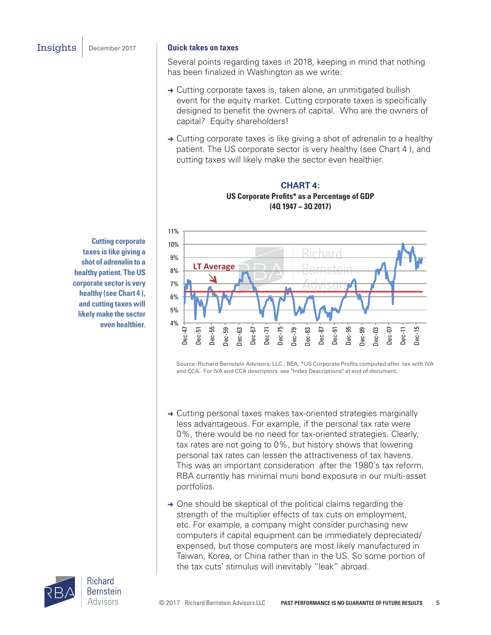#### Insights December 2017 **Quick takes on taxes**

Several points regarding taxes in 2018, keeping in mind that nothing has been finalized in Washington as we write:

- → Cutting corporate taxes is, taken alone, an unmitigated bullish event for the equity market. Cutting corporate taxes is specifically designed to benefit the owners of capital. Who are the owners of capital? Equity shareholders!
- $\rightarrow$  Cutting corporate taxes is like giving a shot of adrenalin to a healthy patient. The US corporate sector is very healthy (see Chart 4 ), and cutting taxes will likely make the sector even healthier.

**CHART 4: US Corporate Profits\* as a Percentage of GDP (4Q 1947 − 3Q 2017)**



Source: Richard Bernstein Advisors, LLC., BEA, \*US Corporate Profits computed after tax with IVA and CCA. For IVA and CCA descriptors see "Index Descriptions" at end of document.

- → Cutting personal taxes makes tax-oriented strategies marginally less advantageous. For example, if the personal tax rate were 0%, there would be no need for tax-oriented strategies. Clearly, tax rates are not going to 0%, but history shows that lowering personal tax rates can lessen the attractiveness of tax havens. This was an important consideration after the 1980's tax reform. RBA currently has minimal muni bond exposure in our multi-asset portfolios.
- $\rightarrow$  One should be skeptical of the political claims regarding the strength of the multiplier effects of tax cuts on employment, etc. For example, a company might consider purchasing new computers if capital equipment can be immediately depreciated/ expensed, but those computers are most likely manufactured in Taiwan, Korea, or China rather than in the US. So some portion of the tax cuts' stimulus will inevitably "leak" abroad.

**Cutting corporate taxes is like giving a shot of adrenalin to a healthy patient. The US corporate sector is very healthy (see Chart 4 ), and cutting taxes will likely make the sector even healthier.**

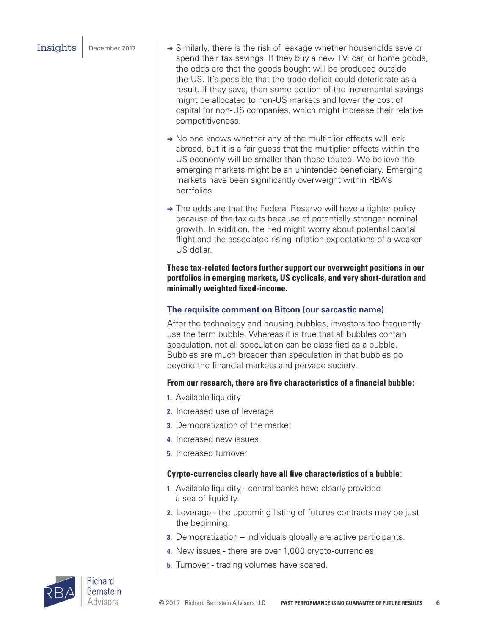- Insights  $\vert$  December 2017  $\vert \rightarrow$  Similarly, there is the risk of leakage whether households save or spend their tax savings. If they buy a new TV, car, or home goods, the odds are that the goods bought will be produced outside the US. It's possible that the trade deficit could deteriorate as a result. If they save, then some portion of the incremental savings might be allocated to non-US markets and lower the cost of capital for non-US companies, which might increase their relative competitiveness.
	- → No one knows whether any of the multiplier effects will leak abroad, but it is a fair guess that the multiplier effects within the US economy will be smaller than those touted. We believe the emerging markets might be an unintended beneficiary. Emerging markets have been significantly overweight within RBA's portfolios.
	- $\rightarrow$  The odds are that the Federal Reserve will have a tighter policy because of the tax cuts because of potentially stronger nominal growth. In addition, the Fed might worry about potential capital flight and the associated rising inflation expectations of a weaker US dollar.

**These tax-related factors further support our overweight positions in our portfolios in emerging markets, US cyclicals, and very short-duration and minimally weighted fixed-income.**

### **The requisite comment on Bitcon (our sarcastic name)**

After the technology and housing bubbles, investors too frequently use the term bubble. Whereas it is true that all bubbles contain speculation, not all speculation can be classified as a bubble. Bubbles are much broader than speculation in that bubbles go beyond the financial markets and pervade society.

### **From our research, there are five characteristics of a financial bubble:**

- **1.** Available liquidity
- **2.** Increased use of leverage
- **3.** Democratization of the market
- **4.** Increased new issues
- **5.** Increased turnover

### **Cyrpto-currencies clearly have all five characteristics of a bubble**:

- **1.** Available liquidity central banks have clearly provided a sea of liquidity.
- **2.** Leverage the upcoming listing of futures contracts may be just the beginning.
- **3.** Democratization individuals globally are active participants.
- **4.** New issues there are over 1,000 crypto-currencies.
- **5. Turnover** trading volumes have soared.

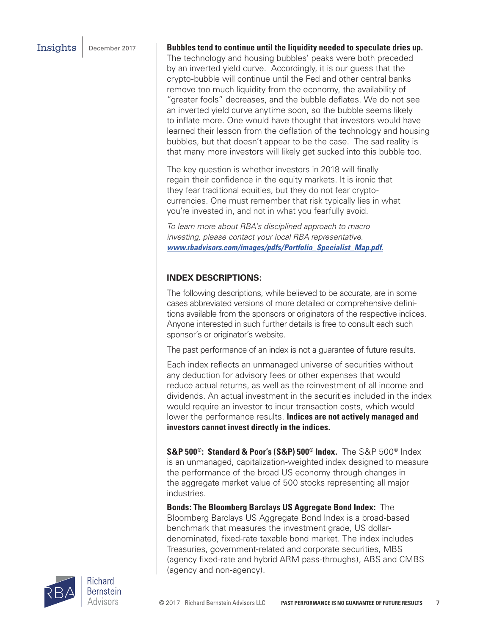### **Insights** December 2017 **Bubbles tend to continue until the liquidity needed to speculate dries up.**

The technology and housing bubbles' peaks were both preceded by an inverted yield curve. Accordingly, it is our guess that the crypto-bubble will continue until the Fed and other central banks remove too much liquidity from the economy, the availability of "greater fools" decreases, and the bubble deflates. We do not see an inverted yield curve anytime soon, so the bubble seems likely to inflate more. One would have thought that investors would have learned their lesson from the deflation of the technology and housing bubbles, but that doesn't appear to be the case. The sad reality is that many more investors will likely get sucked into this bubble too.

The key question is whether investors in 2018 will finally regain their confidence in the equity markets. It is ironic that they fear traditional equities, but they do not fear cryptocurrencies. One must remember that risk typically lies in what you're invested in, and not in what you fearfully avoid.

*To learn more about RBA's disciplined approach to macro investing, please contact your local RBA representative. www.rbadvisors.com/images/pdfs/Portfolio\_Specialist\_Map.pdf.*

## **INDEX DESCRIPTIONS:**

The following descriptions, while believed to be accurate, are in some cases abbreviated versions of more detailed or comprehensive definitions available from the sponsors or originators of the respective indices. Anyone interested in such further details is free to consult each such sponsor's or originator's website.

The past performance of an index is not a guarantee of future results.

Each index reflects an unmanaged universe of securities without any deduction for advisory fees or other expenses that would reduce actual returns, as well as the reinvestment of all income and dividends. An actual investment in the securities included in the index would require an investor to incur transaction costs, which would lower the performance results. **Indices are not actively managed and investors cannot invest directly in the indices.**

**S&P 500®: Standard & Poor's (S&P) 500® Index.** The S&P 500® Index is an unmanaged, capitalization-weighted index designed to measure the performance of the broad US economy through changes in the aggregate market value of 500 stocks representing all major industries.

**Bonds: The Bloomberg Barclays US Aggregate Bond Index:** The Bloomberg Barclays US Aggregate Bond Index is a broad-based benchmark that measures the investment grade, US dollardenominated, fixed-rate taxable bond market. The index includes Treasuries, government-related and corporate securities, MBS (agency fixed-rate and hybrid ARM pass-throughs), ABS and CMBS (agency and non-agency).